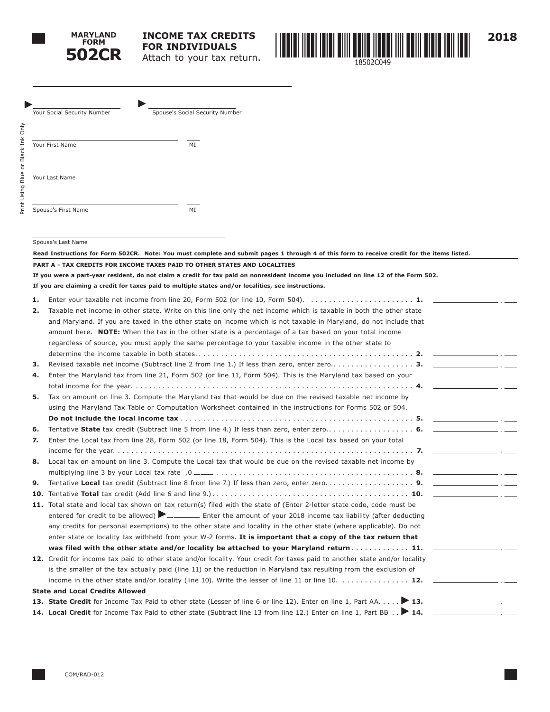



| Your Social Security Number | Spouse's Social Security Number |
|-----------------------------|---------------------------------|
| Your First Name             | MI                              |
| Your Last Name              |                                 |
| Spouse's First Name         | MI                              |

Spouse's Last Name

| Read Instructions for Form 502CR. Note: You must complete and submit pages 1 through 4 of this form to receive credit for the items listed. |                                                                                                                                     |  |  |  |
|---------------------------------------------------------------------------------------------------------------------------------------------|-------------------------------------------------------------------------------------------------------------------------------------|--|--|--|
|                                                                                                                                             | PART A - TAX CREDITS FOR INCOME TAXES PAID TO OTHER STATES AND LOCALITIES                                                           |  |  |  |
|                                                                                                                                             | If you were a part-year resident, do not claim a credit for tax paid on nonresident income you included on line 12 of the Form 502. |  |  |  |
|                                                                                                                                             | If you are claiming a credit for taxes paid to multiple states and/or localities, see instructions.                                 |  |  |  |
| 1.<br>2.                                                                                                                                    | Taxable net income in other state. Write on this line only the net income which is taxable in both the other state                  |  |  |  |
|                                                                                                                                             | and Maryland. If you are taxed in the other state on income which is not taxable in Maryland, do not include that                   |  |  |  |
|                                                                                                                                             | amount here. NOTE: When the tax in the other state is a percentage of a tax based on your total income                              |  |  |  |
|                                                                                                                                             | regardless of source, you must apply the same percentage to your taxable income in the other state to                               |  |  |  |
|                                                                                                                                             |                                                                                                                                     |  |  |  |
| 3.                                                                                                                                          |                                                                                                                                     |  |  |  |
| 4.                                                                                                                                          | Enter the Maryland tax from line 21, Form 502 (or line 11, Form 504). This is the Maryland tax based on your                        |  |  |  |
|                                                                                                                                             |                                                                                                                                     |  |  |  |
| 5.                                                                                                                                          | Tax on amount on line 3. Compute the Maryland tax that would be due on the revised taxable net income by                            |  |  |  |
|                                                                                                                                             | using the Maryland Tax Table or Computation Worksheet contained in the instructions for Forms 502 or 504.                           |  |  |  |
|                                                                                                                                             |                                                                                                                                     |  |  |  |
| 6.                                                                                                                                          |                                                                                                                                     |  |  |  |
| 7.                                                                                                                                          | Enter the Local tax from line 28, Form 502 (or line 18, Form 504). This is the Local tax based on your total                        |  |  |  |
|                                                                                                                                             |                                                                                                                                     |  |  |  |
| 8.                                                                                                                                          | Local tax on amount on line 3. Compute the Local tax that would be due on the revised taxable net income by                         |  |  |  |
|                                                                                                                                             |                                                                                                                                     |  |  |  |
| 9.                                                                                                                                          |                                                                                                                                     |  |  |  |
| 10.                                                                                                                                         |                                                                                                                                     |  |  |  |
|                                                                                                                                             | 11. Total state and local tax shown on tax return(s) filed with the state of (Enter 2-letter state code, code must be               |  |  |  |
|                                                                                                                                             | entered for credit to be allowed) Elementary Enter the amount of your 2018 income tax liability (after deducting                    |  |  |  |
|                                                                                                                                             | any credits for personal exemptions) to the other state and locality in the other state (where applicable). Do not                  |  |  |  |
|                                                                                                                                             | enter state or locality tax withheld from your W-2 forms. It is important that a copy of the tax return that                        |  |  |  |
|                                                                                                                                             | was filed with the other state and/or locality be attached to your Maryland return 11.                                              |  |  |  |
|                                                                                                                                             | 12. Credit for income tax paid to other state and/or locality. Your credit for taxes paid to another state and/or locality          |  |  |  |
|                                                                                                                                             | is the smaller of the tax actually paid (line 11) or the reduction in Maryland tax resulting from the exclusion of                  |  |  |  |
|                                                                                                                                             |                                                                                                                                     |  |  |  |
|                                                                                                                                             | <b>State and Local Credits Allowed</b>                                                                                              |  |  |  |
|                                                                                                                                             | 13. State Credit for Income Tax Paid to other state (Lesser of line 6 or line 12). Enter on line 1, Part AA > 13.                   |  |  |  |
|                                                                                                                                             | 14. Local Credit for Income Tax Paid to other state (Subtract line 13 from line 12.) Enter on line 1, Part BB > 14.                 |  |  |  |
|                                                                                                                                             |                                                                                                                                     |  |  |  |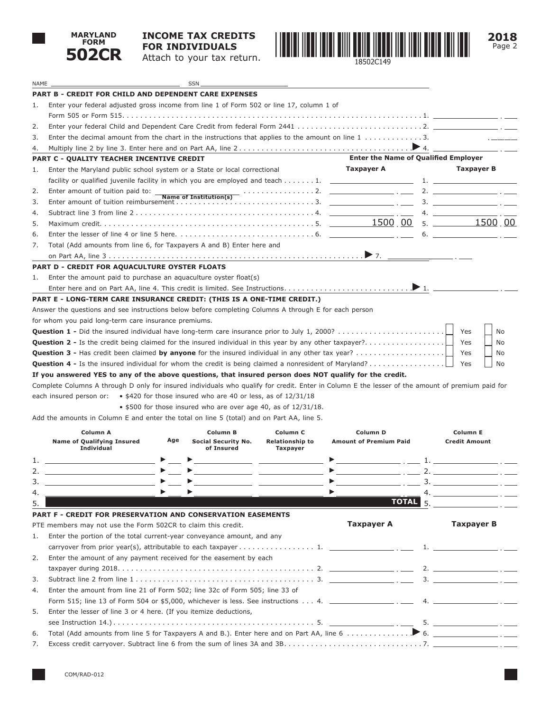

NAME SSN

## **INCOME TAX CREDITS FOR INDIVIDUALS** Attach to your tax return.



|    | <b>PART B - CREDIT FOR CHILD AND DEPENDENT CARE EXPENSES</b>                                                                                                                    |                                             |                                                                                                                                                                                                                                                                                                                   |
|----|---------------------------------------------------------------------------------------------------------------------------------------------------------------------------------|---------------------------------------------|-------------------------------------------------------------------------------------------------------------------------------------------------------------------------------------------------------------------------------------------------------------------------------------------------------------------|
| 1. | Enter your federal adjusted gross income from line 1 of Form 502 or line 17, column 1 of                                                                                        |                                             |                                                                                                                                                                                                                                                                                                                   |
|    |                                                                                                                                                                                 |                                             |                                                                                                                                                                                                                                                                                                                   |
| 2. |                                                                                                                                                                                 |                                             |                                                                                                                                                                                                                                                                                                                   |
| 3. | Enter the decimal amount from the chart in the instructions that applies to the amount on line $1, \ldots, \ldots, 3$ .                                                         |                                             |                                                                                                                                                                                                                                                                                                                   |
| 4. |                                                                                                                                                                                 |                                             |                                                                                                                                                                                                                                                                                                                   |
|    | PART C - QUALITY TEACHER INCENTIVE CREDIT                                                                                                                                       | <b>Enter the Name of Qualified Employer</b> |                                                                                                                                                                                                                                                                                                                   |
| 1. | Enter the Maryland public school system or a State or local correctional                                                                                                        | Taxpayer A                                  | <b>Taxpayer B</b>                                                                                                                                                                                                                                                                                                 |
|    |                                                                                                                                                                                 |                                             |                                                                                                                                                                                                                                                                                                                   |
| 2. |                                                                                                                                                                                 |                                             |                                                                                                                                                                                                                                                                                                                   |
| 3. |                                                                                                                                                                                 |                                             |                                                                                                                                                                                                                                                                                                                   |
| 4. |                                                                                                                                                                                 |                                             | 4. $\qquad \qquad \qquad$                                                                                                                                                                                                                                                                                         |
| 5. |                                                                                                                                                                                 |                                             |                                                                                                                                                                                                                                                                                                                   |
| 6. |                                                                                                                                                                                 |                                             |                                                                                                                                                                                                                                                                                                                   |
| 7. | Total (Add amounts from line 6, for Taxpayers A and B) Enter here and                                                                                                           |                                             |                                                                                                                                                                                                                                                                                                                   |
|    |                                                                                                                                                                                 |                                             |                                                                                                                                                                                                                                                                                                                   |
|    | <b>PART D - CREDIT FOR AQUACULTURE OYSTER FLOATS</b>                                                                                                                            |                                             |                                                                                                                                                                                                                                                                                                                   |
| 1. | Enter the amount paid to purchase an aquaculture oyster float(s)                                                                                                                |                                             |                                                                                                                                                                                                                                                                                                                   |
|    |                                                                                                                                                                                 |                                             |                                                                                                                                                                                                                                                                                                                   |
|    | PART E - LONG-TERM CARE INSURANCE CREDIT: (THIS IS A ONE-TIME CREDIT.)                                                                                                          |                                             |                                                                                                                                                                                                                                                                                                                   |
|    | Answer the questions and see instructions below before completing Columns A through E for each person                                                                           |                                             |                                                                                                                                                                                                                                                                                                                   |
|    | for whom you paid long-term care insurance premiums.                                                                                                                            |                                             |                                                                                                                                                                                                                                                                                                                   |
|    | <b>Question 1 -</b> Did the insured individual have long-term care insurance prior to July 1, 2000?                                                                             |                                             | Yes<br>No                                                                                                                                                                                                                                                                                                         |
|    | <b>Question 2 -</b> Is the credit being claimed for the insured individual in this year by any other taxpayer?                                                                  |                                             | Yes<br>No                                                                                                                                                                                                                                                                                                         |
|    |                                                                                                                                                                                 |                                             | Yes<br>No                                                                                                                                                                                                                                                                                                         |
|    | <b>Question 4 -</b> Is the insured individual for whom the credit is being claimed a nonresident of Maryland?                                                                   |                                             | Yes<br>No                                                                                                                                                                                                                                                                                                         |
|    | If you answered YES to any of the above questions, that insured person does NOT qualify for the credit.                                                                         |                                             |                                                                                                                                                                                                                                                                                                                   |
|    | Complete Columns A through D only for insured individuals who qualify for credit. Enter in Column E the lesser of the amount of premium paid for                                |                                             |                                                                                                                                                                                                                                                                                                                   |
|    | each insured person or:<br>• \$420 for those insured who are 40 or less, as of 12/31/18                                                                                         |                                             |                                                                                                                                                                                                                                                                                                                   |
|    | • \$500 for those insured who are over age 40, as of 12/31/18.                                                                                                                  |                                             |                                                                                                                                                                                                                                                                                                                   |
|    | Add the amounts in Column E and enter the total on line 5 (total) and on Part AA, line 5.                                                                                       |                                             |                                                                                                                                                                                                                                                                                                                   |
|    | Column A<br>Column B<br>Column <sub>C</sub>                                                                                                                                     | Column D                                    | <b>Column E</b>                                                                                                                                                                                                                                                                                                   |
|    | Age<br><b>Name of Qualifying Insured</b><br>Social Security No.<br><b>Relationship to</b>                                                                                       | <b>Amount of Premium Paid</b>               | <b>Credit Amount</b>                                                                                                                                                                                                                                                                                              |
|    | Individual<br>of Insured<br><b>Taxpayer</b>                                                                                                                                     |                                             |                                                                                                                                                                                                                                                                                                                   |
| 1. | <u> 1989 - Andrea Stadt, fransk politiker (d. 1989)</u><br><u> 1989 - Johann John Stone, markin amerikan bisa di sebagai pertama dan personal dan personal dan personal dan</u> |                                             |                                                                                                                                                                                                                                                                                                                   |
|    | $\blacktriangleright$<br>$\blacktriangleright \underbrace{\hspace{2.5cm}}$                                                                                                      |                                             |                                                                                                                                                                                                                                                                                                                   |
| 3. | ▶<br>$\blacktriangleright$<br>▶                                                                                                                                                 |                                             |                                                                                                                                                                                                                                                                                                                   |
|    |                                                                                                                                                                                 | 4.                                          |                                                                                                                                                                                                                                                                                                                   |
| 5. |                                                                                                                                                                                 | TOTAL <sub>5</sub>                          |                                                                                                                                                                                                                                                                                                                   |
|    | PART F - CREDIT FOR PRESERVATION AND CONSERVATION EASEMENTS                                                                                                                     |                                             |                                                                                                                                                                                                                                                                                                                   |
|    | PTE members may not use the Form 502CR to claim this credit.                                                                                                                    | <b>Taxpayer A</b>                           | <b>Taxpayer B</b>                                                                                                                                                                                                                                                                                                 |
| 1. | Enter the portion of the total current-year conveyance amount, and any                                                                                                          |                                             |                                                                                                                                                                                                                                                                                                                   |
|    |                                                                                                                                                                                 |                                             |                                                                                                                                                                                                                                                                                                                   |
| 2. | Enter the amount of any payment received for the easement by each                                                                                                               |                                             |                                                                                                                                                                                                                                                                                                                   |
|    |                                                                                                                                                                                 |                                             |                                                                                                                                                                                                                                                                                                                   |
| 3. |                                                                                                                                                                                 |                                             |                                                                                                                                                                                                                                                                                                                   |
| 4. | Enter the amount from line 21 of Form 502; line 32c of Form 505; line 33 of                                                                                                     |                                             |                                                                                                                                                                                                                                                                                                                   |
|    | Form 515; line 13 of Form 504 or \$5,000, whichever is less. See instructions 4. ____________________ . ____                                                                    |                                             | $\mathcal{A}$ and $\mathcal{A}$ and $\mathcal{A}$ are $\mathcal{A}$ and $\mathcal{A}$ are $\mathcal{A}$ and $\mathcal{A}$ are $\mathcal{A}$ and $\mathcal{A}$ are $\mathcal{A}$ and $\mathcal{A}$ are $\mathcal{A}$ and $\mathcal{A}$ are $\mathcal{A}$ and $\mathcal{A}$ are $\mathcal{A}$ and $\mathcal{A}$ are |
| 5. | Enter the lesser of line 3 or 4 here. (If you itemize deductions,                                                                                                               |                                             |                                                                                                                                                                                                                                                                                                                   |
|    |                                                                                                                                                                                 |                                             |                                                                                                                                                                                                                                                                                                                   |
| 6. |                                                                                                                                                                                 |                                             |                                                                                                                                                                                                                                                                                                                   |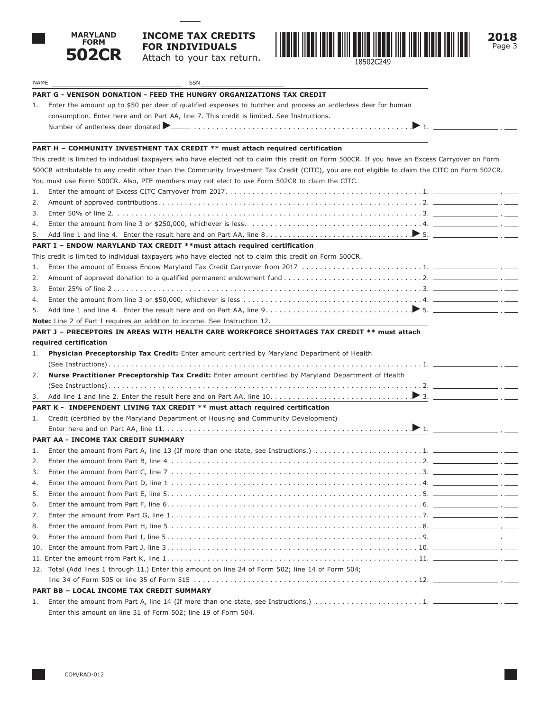

## **INCOME TAX CREDITS FOR INDIVIDUALS** Attach to your tax return.



| NAME           | SSN                                                                                                                                                          |  |
|----------------|--------------------------------------------------------------------------------------------------------------------------------------------------------------|--|
|                | <b>PART G - VENISON DONATION - FEED THE HUNGRY ORGANIZATIONS TAX CREDIT</b>                                                                                  |  |
| 1.             | Enter the amount up to \$50 per deer of qualified expenses to butcher and process an antierless deer for human                                               |  |
|                | consumption. Enter here and on Part AA, line 7. This credit is limited. See Instructions.                                                                    |  |
|                | Number of antierless deer donated <b>Decision</b> expansion of the state of the state of antierless deer donated <b>Decision Community 1.</b>                |  |
|                |                                                                                                                                                              |  |
|                | PART H - COMMUNITY INVESTMENT TAX CREDIT ** must attach required certification                                                                               |  |
|                | This credit is limited to individual taxpayers who have elected not to claim this credit on Form 500CR. If you have an Excess Carryover on Form              |  |
|                | 500CR attributable to any credit other than the Community Investment Tax Credit (CITC), you are not eligible to claim the CITC on Form 502CR.                |  |
|                | You must use Form 500CR. Also, PTE members may not elect to use Form 502CR to claim the CITC.                                                                |  |
| 1.             |                                                                                                                                                              |  |
| 2.             |                                                                                                                                                              |  |
| 3.             |                                                                                                                                                              |  |
| 4.             | Enter the amount from line 3 or \$250,000, whichever is less. $\ldots \ldots \ldots \ldots \ldots \ldots \ldots \ldots \ldots \ldots \ldots \ldots \ldots$ . |  |
| 5.             |                                                                                                                                                              |  |
|                | PART I - ENDOW MARYLAND TAX CREDIT ** must attach required certification                                                                                     |  |
|                | This credit is limited to individual taxpayers who have elected not to claim this credit on Form 500CR.                                                      |  |
| 1.             |                                                                                                                                                              |  |
| 2.             |                                                                                                                                                              |  |
| 3.             |                                                                                                                                                              |  |
| 4.             |                                                                                                                                                              |  |
| 5.             |                                                                                                                                                              |  |
|                | <b>Note:</b> Line 2 of Part I requires an addition to income. See Instruction 12.                                                                            |  |
|                | PART J - PRECEPTORS IN AREAS WITH HEALTH CARE WORKFORCE SHORTAGES TAX CREDIT ** must attach                                                                  |  |
|                | required certification                                                                                                                                       |  |
| 1.             | Physician Preceptorship Tax Credit: Enter amount certified by Maryland Department of Health                                                                  |  |
|                |                                                                                                                                                              |  |
| 2.             | Nurse Practitioner Preceptorship Tax Credit: Enter amount certified by Maryland Department of Health                                                         |  |
|                |                                                                                                                                                              |  |
| 3.             |                                                                                                                                                              |  |
|                | PART K - INDEPENDENT LIVING TAX CREDIT ** must attach required certification                                                                                 |  |
| 1.             | Credit (certified by the Maryland Department of Housing and Community Development)                                                                           |  |
|                |                                                                                                                                                              |  |
|                | PART AA - INCOME TAX CREDIT SUMMARY                                                                                                                          |  |
| 1.             |                                                                                                                                                              |  |
| 2.             |                                                                                                                                                              |  |
| 3.             |                                                                                                                                                              |  |
| $\overline{4}$ |                                                                                                                                                              |  |
| 5.             |                                                                                                                                                              |  |
| 6.             |                                                                                                                                                              |  |
| 7.             |                                                                                                                                                              |  |
| 8.             |                                                                                                                                                              |  |
| 9.             |                                                                                                                                                              |  |
| 10.            |                                                                                                                                                              |  |
|                |                                                                                                                                                              |  |
|                | 12. Total (Add lines 1 through 11.) Enter this amount on line 24 of Form 502; line 14 of Form 504;                                                           |  |
|                |                                                                                                                                                              |  |
|                |                                                                                                                                                              |  |
|                | PART BB - LOCAL INCOME TAX CREDIT SUMMARY                                                                                                                    |  |
| 1.             |                                                                                                                                                              |  |
|                | Enter this amount on line 31 of Form 502; line 19 of Form 504.                                                                                               |  |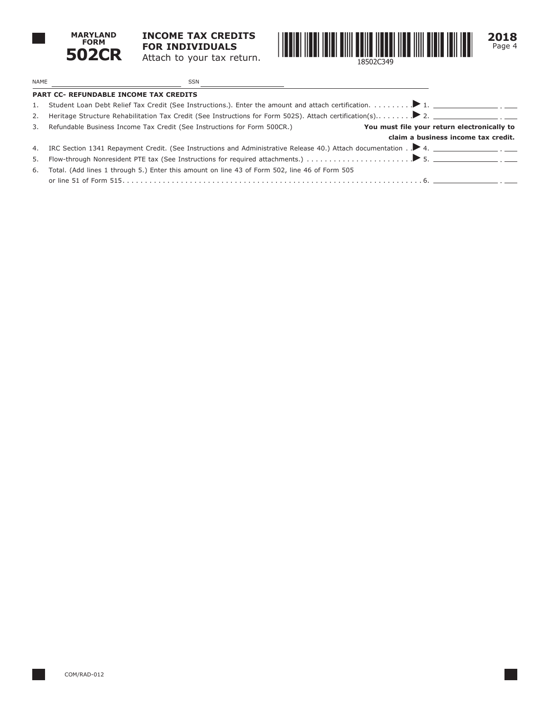

**INCOME TAX CREDITS FOR INDIVIDUALS** Attach to your tax return.



 $\mathcal{L}^{\text{max}}$ 

 $\sim$  100

NAME SSN **PART CC- REFUNDABLE INCOME TAX CREDITS** 1. Student Loan Debt Relief Tax Credit (See Instructions.). Enter the amount and attach certification.. . 1. 2. Heritage Structure Rehabilitation Tax Credit (See Instructions for Form 502S). Attach certification(s).. . 2. 3. Refundable Business Income Tax Credit (See Instructions for Form 500CR.) **You must file your return electronically to claim a business income tax credit.** 4. IRC Section 1341 Repayment Credit. (See Instructions and Administrative Release 40.) Attach documentation .  $\blacktriangleright$  4. 5. Flow-through Nonresident PTE tax (See Instructions for required attachments.). . 5. 6. Total. (Add lines 1 through 5.) Enter this amount on line 43 of Form 502, line 46 of Form 505 or line 51 of Form 515. . 6.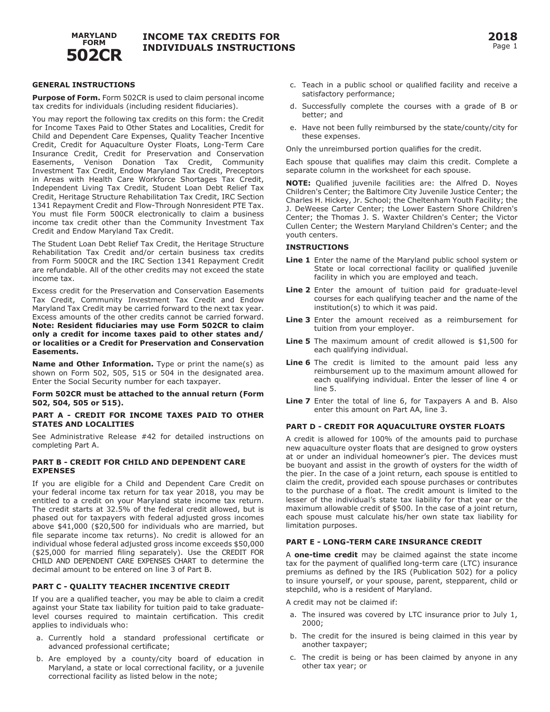

#### **GENERAL INSTRUCTIONS**

**Purpose of Form.** Form 502CR is used to claim personal income tax credits for individuals (including resident fiduciaries).

You may report the following tax credits on this form: the Credit for Income Taxes Paid to Other States and Localities, Credit for Child and Dependent Care Expenses, Quality Teacher Incentive Credit, Credit for Aquaculture Oyster Floats, Long-Term Care Insurance Credit, Credit for Preservation and Conservation Easements, Venison Donation Tax Credit, Community Investment Tax Credit, Endow Maryland Tax Credit, Preceptors in Areas with Health Care Workforce Shortages Tax Credit, Independent Living Tax Credit, Student Loan Debt Relief Tax Credit, Heritage Structure Rehabilitation Tax Credit, IRC Section 1341 Repayment Credit and Flow-Through Nonresident PTE Tax. You must file Form 500CR electronically to claim a business income tax credit other than the Community Investment Tax Credit and Endow Maryland Tax Credit.

The Student Loan Debt Relief Tax Credit, the Heritage Structure Rehabilitation Tax Credit and/or certain business tax credits from Form 500CR and the IRC Section 1341 Repayment Credit are refundable. All of the other credits may not exceed the state income tax.

Excess credit for the Preservation and Conservation Easements Tax Credit, Community Investment Tax Credit and Endow Maryland Tax Credit may be carried forward to the next tax year. Excess amounts of the other credits cannot be carried forward. **Note: Resident fiduciaries may use Form 502CR to claim only a credit for income taxes paid to other states and/ or localities or a Credit for Preservation and Conservation Easements.** 

**Name and Other Information.** Type or print the name(s) as shown on Form 502, 505, 515 or 504 in the designated area. Enter the Social Security number for each taxpayer.

#### **Form 502CR must be attached to the annual return (Form 502, 504, 505 or 515).**

#### **PART A - CREDIT FOR INCOME TAXES PAID TO OTHER STATES AND LOCALITIES**

See Administrative Release #42 for detailed instructions on completing Part A.

#### **PART B - CREDIT FOR CHILD AND DEPENDENT CARE EXPENSES**

If you are eligible for a Child and Dependent Care Credit on your federal income tax return for tax year 2018, you may be entitled to a credit on your Maryland state income tax return. The credit starts at 32.5% of the federal credit allowed, but is phased out for taxpayers with federal adjusted gross incomes above \$41,000 (\$20,500 for individuals who are married, but file separate income tax returns). No credit is allowed for an individual whose federal adjusted gross income exceeds \$50,000 (\$25,000 for married filing separately). Use the CREDIT FOR CHILD AND DEPENDENT CARE EXPENSES CHART to determine the decimal amount to be entered on line 3 of Part B.

### **PART C - QUALITY TEACHER INCENTIVE CREDIT**

If you are a qualified teacher, you may be able to claim a credit against your State tax liability for tuition paid to take graduatelevel courses required to maintain certification. This credit applies to individuals who:

- a. Currently hold a standard professional certificate or advanced professional certificate;
- b. Are employed by a county/city board of education in Maryland, a state or local correctional facility, or a juvenile correctional facility as listed below in the note;
- c. Teach in a public school or qualified facility and receive a satisfactory performance;
- d. Successfully complete the courses with a grade of B or better; and
- e. Have not been fully reimbursed by the state/county/city for these expenses.

Only the unreimbursed portion qualifies for the credit.

Each spouse that qualifies may claim this credit. Complete a separate column in the worksheet for each spouse.

**NOTE:** Qualified juvenile facilities are: the Alfred D. Noyes Children's Center; the Baltimore City Juvenile Justice Center; the Charles H. Hickey, Jr. School; the Cheltenham Youth Facility; the J. DeWeese Carter Center; the Lower Eastern Shore Children's Center; the Thomas J. S. Waxter Children's Center; the Victor Cullen Center; the Western Maryland Children's Center; and the youth centers.

#### **INSTRUCTIONS**

- **Line 1** Enter the name of the Maryland public school system or State or local correctional facility or qualified juvenile facility in which you are employed and teach.
- **Line 2** Enter the amount of tuition paid for graduate-level courses for each qualifying teacher and the name of the institution(s) to which it was paid.
- **Line 3** Enter the amount received as a reimbursement for tuition from your employer.
- **Line 5** The maximum amount of credit allowed is \$1,500 for each qualifying individual.
- **Line 6** The credit is limited to the amount paid less any reimbursement up to the maximum amount allowed for each qualifying individual. Enter the lesser of line 4 or line 5.
- **Line 7** Enter the total of line 6, for Taxpayers A and B. Also enter this amount on Part AA, line 3.

#### **PART D - CREDIT FOR AQUACULTURE OYSTER FLOATS**

A credit is allowed for 100% of the amounts paid to purchase new aquaculture oyster floats that are designed to grow oysters at or under an individual homeowner's pier. The devices must be buoyant and assist in the growth of oysters for the width of the pier. In the case of a joint return, each spouse is entitled to claim the credit, provided each spouse purchases or contributes to the purchase of a float. The credit amount is limited to the lesser of the individual's state tax liability for that year or the maximum allowable credit of \$500. In the case of a joint return, each spouse must calculate his/her own state tax liability for limitation purposes.

#### **PART E - LONG-TERM CARE INSURANCE CREDIT**

A **one-time credit** may be claimed against the state income tax for the payment of qualified long-term care (LTC) insurance premiums as defined by the IRS (Publication 502) for a policy to insure yourself, or your spouse, parent, stepparent, child or stepchild, who is a resident of Maryland.

A credit may not be claimed if:

- a. The insured was covered by LTC insurance prior to July 1, 2000;
- b. The credit for the insured is being claimed in this year by another taxpayer;
- c. The credit is being or has been claimed by anyone in any other tax year; or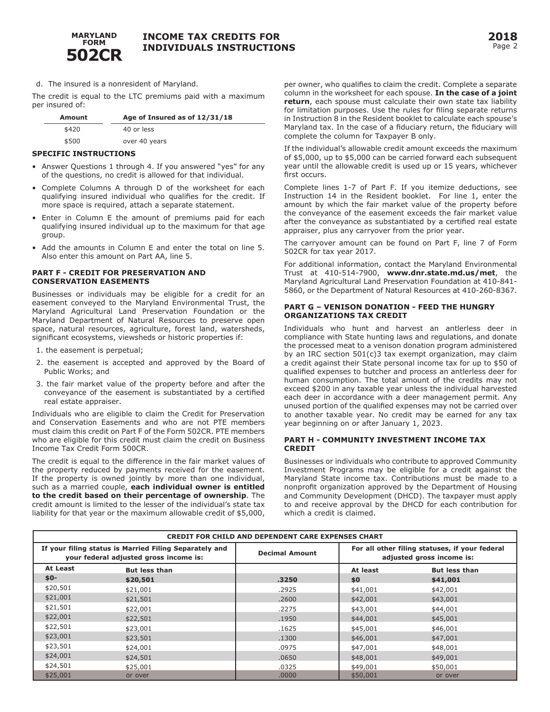

## **2018** Page 2

d. The insured is a nonresident of Maryland.

The credit is equal to the LTC premiums paid with a maximum per insured of:

| Amount | Age of Insured as of 12/31/18 |  |  |
|--------|-------------------------------|--|--|
| \$420  | 40 or less                    |  |  |
| \$500  | over 40 years                 |  |  |

#### **SPECIFIC INSTRUCTIONS**

- Answer Questions 1 through 4. If you answered "yes" for any of the questions, no credit is allowed for that individual.
- Complete Columns A through D of the worksheet for each qualifying insured individual who qualifies for the credit. If more space is required, attach a separate statement.
- Enter in Column E the amount of premiums paid for each qualifying insured individual up to the maximum for that age group.
- Add the amounts in Column E and enter the total on line 5. Also enter this amount on Part AA, line 5.

#### **PART F - CREDIT FOR PRESERVATION AND CONSERVATION EASEMENTS**

Businesses or individuals may be eligible for a credit for an easement conveyed to the Maryland Environmental Trust, the Maryland Agricultural Land Preservation Foundation or the Maryland Department of Natural Resources to preserve open space, natural resources, agriculture, forest land, watersheds, significant ecosystems, viewsheds or historic properties if:

- 1. the easement is perpetual;
- 2. the easement is accepted and approved by the Board of Public Works; and
- 3. the fair market value of the property before and after the conveyance of the easement is substantiated by a certified real estate appraiser.

Individuals who are eligible to claim the Credit for Preservation and Conservation Easements and who are not PTE members must claim this credit on Part F of the Form 502CR. PTE members who are eligible for this credit must claim the credit on Business Income Tax Credit Form 500CR.

The credit is equal to the difference in the fair market values of the property reduced by payments received for the easement. If the property is owned jointly by more than one individual, such as a married couple, **each individual owner is entitled to the credit based on their percentage of ownership**. The credit amount is limited to the lesser of the individual's state tax liability for that year or the maximum allowable credit of \$5,000,

per owner, who qualifies to claim the credit. Complete a separate column in the worksheet for each spouse. **In the case of a joint return**, each spouse must calculate their own state tax liability for limitation purposes. Use the rules for filing separate returns in Instruction 8 in the Resident booklet to calculate each spouse's Maryland tax. In the case of a fiduciary return, the fiduciary will complete the column for Taxpayer B only.

If the individual's allowable credit amount exceeds the maximum of \$5,000, up to \$5,000 can be carried forward each subsequent year until the allowable credit is used up or 15 years, whichever first occurs.

Complete lines 1-7 of Part F. If you itemize deductions, see Instruction 14 in the Resident booklet. For line 1, enter the amount by which the fair market value of the property before the conveyance of the easement exceeds the fair market value after the conveyance as substantiated by a certified real estate appraiser, plus any carryover from the prior year.

The carryover amount can be found on Part F, line 7 of Form 502CR for tax year 2017.

For additional information, contact the Maryland Environmental Trust at 410-514-7900, **www.dnr.state.md.us/met**, the Maryland Agricultural Land Preservation Foundation at 410-841- 5860, or the Department of Natural Resources at 410-260-8367.

#### **PART G – VENISON DONATION - FEED THE HUNGRY ORGANIZATIONS TAX CREDIT**

Individuals who hunt and harvest an antlerless deer in compliance with State hunting laws and regulations, and donate the processed meat to a venison donation program administered by an IRC section 501(c)3 tax exempt organization, may claim a credit against their State personal income tax for up to \$50 of qualified expenses to butcher and process an antlerless deer for human consumption. The total amount of the credits may not exceed \$200 in any taxable year unless the individual harvested each deer in accordance with a deer management permit. Any unused portion of the qualified expenses may not be carried over to another taxable year. No credit may be earned for any tax year beginning on or after January 1, 2023.

#### **PART H - COMMUNITY INVESTMENT INCOME TAX CREDIT**

Businesses or individuals who contribute to approved Community Investment Programs may be eligible for a credit against the Maryland State income tax. Contributions must be made to a nonprofit organization approved by the Department of Housing and Community Development (DHCD). The taxpayer must apply to and receive approval by the DHCD for each contribution for which a credit is claimed.

| <b>CREDIT FOR CHILD AND DEPENDENT CARE EXPENSES CHART</b>                                        |                      |                       |                                                                             |                      |  |
|--------------------------------------------------------------------------------------------------|----------------------|-----------------------|-----------------------------------------------------------------------------|----------------------|--|
| If your filing status is Married Filing Separately and<br>your federal adjusted gross income is: |                      | <b>Decimal Amount</b> | For all other filing statuses, if your federal<br>adjusted gross income is: |                      |  |
| At Least                                                                                         | <b>But less than</b> |                       | At least                                                                    | <b>But less than</b> |  |
| $$0-$                                                                                            | \$20,501             | .3250                 | \$0                                                                         | \$41,001             |  |
| \$20,501                                                                                         | \$21,001             | .2925                 | \$41,001                                                                    | \$42,001             |  |
| \$21,001                                                                                         | \$21,501             | .2600                 | \$42,001                                                                    | \$43,001             |  |
| \$21,501                                                                                         | \$22,001             | .2275                 | \$43,001                                                                    | \$44,001             |  |
| \$22,001                                                                                         | \$22,501             | .1950                 | \$44,001                                                                    | \$45,001             |  |
| \$22,501                                                                                         | \$23,001             | .1625                 | \$45,001                                                                    | \$46,001             |  |
| \$23,001                                                                                         | \$23,501             | .1300                 | \$46,001                                                                    | \$47,001             |  |
| \$23,501                                                                                         | \$24,001             | .0975                 | \$47,001                                                                    | \$48,001             |  |
| \$24,001                                                                                         | \$24,501             | .0650                 | \$48,001                                                                    | \$49,001             |  |
| \$24,501                                                                                         | \$25,001             | .0325                 | \$49,001                                                                    | \$50,001             |  |
| \$25,001                                                                                         | or over              | .0000                 | \$50,001                                                                    | or over              |  |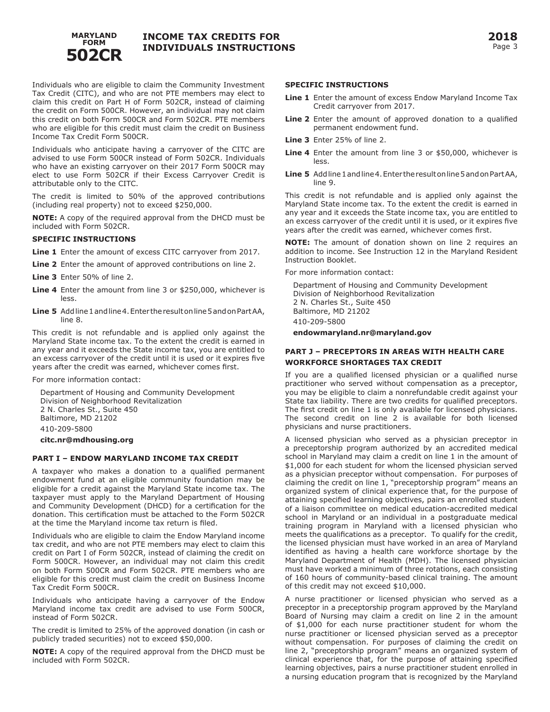

Individuals who are eligible to claim the Community Investment Tax Credit (CITC), and who are not PTE members may elect to claim this credit on Part H of Form 502CR, instead of claiming the credit on Form 500CR. However, an individual may not claim this credit on both Form 500CR and Form 502CR. PTE members who are eligible for this credit must claim the credit on Business Income Tax Credit Form 500CR.

Individuals who anticipate having a carryover of the CITC are advised to use Form 500CR instead of Form 502CR. Individuals who have an existing carryover on their 2017 Form 500CR may elect to use Form 502CR if their Excess Carryover Credit is attributable only to the CITC.

The credit is limited to 50% of the approved contributions (including real property) not to exceed \$250,000.

**NOTE:** A copy of the required approval from the DHCD must be included with Form 502CR.

#### **SPECIFIC INSTRUCTIONS**

**Line 1** Enter the amount of excess CITC carryover from 2017.

- **Line 2** Enter the amount of approved contributions on line 2.
- **Line 3** Enter 50% of line 2.
- **Line 4** Enter the amount from line 3 or \$250,000, whichever is less.
- **Line 5** Add line 1 and line 4. Enter the result on line 5 and on Part AA, line 8.

This credit is not refundable and is applied only against the Maryland State income tax. To the extent the credit is earned in any year and it exceeds the State income tax, you are entitled to an excess carryover of the credit until it is used or it expires five years after the credit was earned, whichever comes first.

For more information contact:

Department of Housing and Community Development Division of Neighborhood Revitalization 2 N. Charles St., Suite 450 Baltimore, MD 21202 410-209-5800 **citc.nr@mdhousing.org** 

#### **PART I – ENDOW MARYLAND INCOME TAX CREDIT**

A taxpayer who makes a donation to a qualified permanent endowment fund at an eligible community foundation may be eligible for a credit against the Maryland State income tax. The taxpayer must apply to the Maryland Department of Housing and Community Development (DHCD) for a certification for the donation. This certification must be attached to the Form 502CR at the time the Maryland income tax return is filed.

Individuals who are eligible to claim the Endow Maryland income tax credit, and who are not PTE members may elect to claim this credit on Part I of Form 502CR, instead of claiming the credit on Form 500CR. However, an individual may not claim this credit on both Form 500CR and Form 502CR. PTE members who are eligible for this credit must claim the credit on Business Income Tax Credit Form 500CR.

Individuals who anticipate having a carryover of the Endow Maryland income tax credit are advised to use Form 500CR, instead of Form 502CR.

The credit is limited to 25% of the approved donation (in cash or publicly traded securities) not to exceed \$50,000.

**NOTE:** A copy of the required approval from the DHCD must be included with Form 502CR.

#### **SPECIFIC INSTRUCTIONS**

- **Line 1** Enter the amount of excess Endow Maryland Income Tax Credit carryover from 2017.
- **Line 2** Enter the amount of approved donation to a qualified permanent endowment fund.
- **Line 3** Enter 25% of line 2.
- **Line 4** Enter the amount from line 3 or \$50,000, whichever is less.
- **Line 5** Add line 1 and line 4. Enter the result on line 5 and on Part AA, line 9.

This credit is not refundable and is applied only against the Maryland State income tax. To the extent the credit is earned in any year and it exceeds the State income tax, you are entitled to an excess carryover of the credit until it is used, or it expires five years after the credit was earned, whichever comes first.

**NOTE:** The amount of donation shown on line 2 requires an addition to income. See Instruction 12 in the Maryland Resident Instruction Booklet.

For more information contact:

Department of Housing and Community Development Division of Neighborhood Revitalization 2 N. Charles St., Suite 450 Baltimore, MD 21202 410-209-5800

**endowmaryland.nr@maryland.gov**

### **PART J – PRECEPTORS IN AREAS WITH HEALTH CARE WORKFORCE SHORTAGES TAX CREDIT**

If you are a qualified licensed physician or a qualified nurse practitioner who served without compensation as a preceptor, you may be eligible to claim a nonrefundable credit against your State tax liability. There are two credits for qualified preceptors. The first credit on line 1 is only available for licensed physicians. The second credit on line 2 is available for both licensed physicians and nurse practitioners.

A licensed physician who served as a physician preceptor in a preceptorship program authorized by an accredited medical school in Maryland may claim a credit on line 1 in the amount of \$1,000 for each student for whom the licensed physician served as a physician preceptor without compensation. For purposes of claiming the credit on line 1, "preceptorship program" means an organized system of clinical experience that, for the purpose of attaining specified learning objectives, pairs an enrolled student of a liaison committee on medical education-accredited medical school in Maryland or an individual in a postgraduate medical training program in Maryland with a licensed physician who meets the qualifications as a preceptor. To qualify for the credit, the licensed physician must have worked in an area of Maryland identified as having a health care workforce shortage by the Maryland Department of Health (MDH). The licensed physician must have worked a minimum of three rotations, each consisting of 160 hours of community-based clinical training. The amount of this credit may not exceed \$10,000.

A nurse practitioner or licensed physician who served as a preceptor in a preceptorship program approved by the Maryland Board of Nursing may claim a credit on line 2 in the amount of \$1,000 for each nurse practitioner student for whom the nurse practitioner or licensed physician served as a preceptor without compensation. For purposes of claiming the credit on line 2, "preceptorship program" means an organized system of clinical experience that, for the purpose of attaining specified learning objectives, pairs a nurse practitioner student enrolled in a nursing education program that is recognized by the Maryland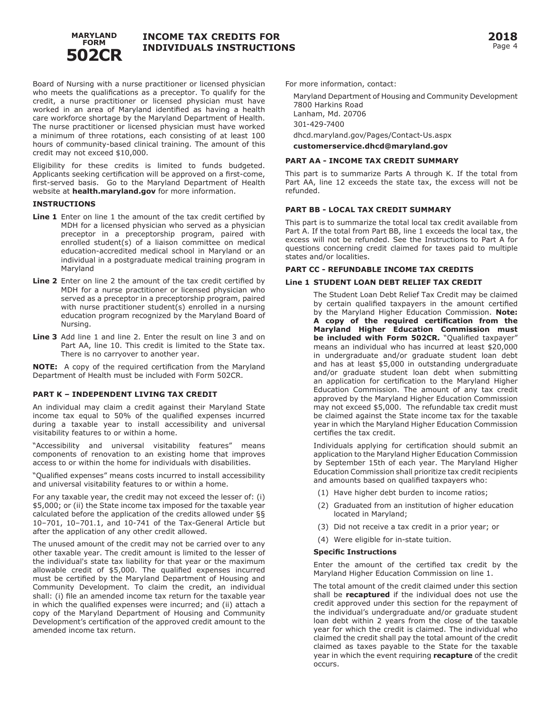

Board of Nursing with a nurse practitioner or licensed physician who meets the qualifications as a preceptor. To qualify for the credit, a nurse practitioner or licensed physician must have worked in an area of Maryland identified as having a health care workforce shortage by the Maryland Department of Health. The nurse practitioner or licensed physician must have worked a minimum of three rotations, each consisting of at least 100 hours of community-based clinical training. The amount of this credit may not exceed \$10,000.

Eligibility for these credits is limited to funds budgeted. Applicants seeking certification will be approved on a first-come, first-served basis. Go to the Maryland Department of Health website at **health.maryland.gov** for more information.

#### **INSTRUCTIONS**

- **Line 1** Enter on line 1 the amount of the tax credit certified by MDH for a licensed physician who served as a physician preceptor in a preceptorship program, paired with enrolled student(s) of a liaison committee on medical education-accredited medical school in Maryland or an individual in a postgraduate medical training program in Maryland
- **Line 2** Enter on line 2 the amount of the tax credit certified by MDH for a nurse practitioner or licensed physician who served as a preceptor in a preceptorship program, paired with nurse practitioner student(s) enrolled in a nursing education program recognized by the Maryland Board of Nursing.
- **Line 3** Add line 1 and line 2. Enter the result on line 3 and on Part AA, line 10. This credit is limited to the State tax. There is no carryover to another year.

**NOTE:** A copy of the required certification from the Maryland Department of Health must be included with Form 502CR.

#### **PART K – INDEPENDENT LIVING TAX CREDIT**

An individual may claim a credit against their Maryland State income tax equal to 50% of the qualified expenses incurred during a taxable year to install accessibility and universal visitability features to or within a home.

"Accessibility and universal visitability features" means components of renovation to an existing home that improves access to or within the home for individuals with disabilities.

"Qualified expenses" means costs incurred to install accessibility and universal visitability features to or within a home.

For any taxable year, the credit may not exceed the lesser of: (i) \$5,000; or (ii) the State income tax imposed for the taxable year calculated before the application of the credits allowed under §§ 10–701, 10–701.1, and 10-741 of the Tax-General Article but after the application of any other credit allowed.

The unused amount of the credit may not be carried over to any other taxable year. The credit amount is limited to the lesser of the individual's state tax liability for that year or the maximum allowable credit of \$5,000. The qualified expenses incurred must be certified by the Maryland Department of Housing and Community Development. To claim the credit, an individual shall: (i) file an amended income tax return for the taxable year in which the qualified expenses were incurred; and (ii) attach a copy of the Maryland Department of Housing and Community Development's certification of the approved credit amount to the amended income tax return.

For more information, contact:

Maryland Department of Housing and Community Development 7800 Harkins Road Lanham, Md. 20706 301-429-7400 dhcd.maryland.gov/Pages/Contact-Us.aspx

**customerservice.dhcd@maryland.gov**

### **PART AA - INCOME TAX CREDIT SUMMARY**

This part is to summarize Parts A through K. If the total from Part AA, line 12 exceeds the state tax, the excess will not be refunded.

#### **PART BB - LOCAL TAX CREDIT SUMMARY**

This part is to summarize the total local tax credit available from Part A. If the total from Part BB, line 1 exceeds the local tax, the excess will not be refunded. See the Instructions to Part A for questions concerning credit claimed for taxes paid to multiple states and/or localities.

#### **PART CC - REFUNDABLE INCOME TAX CREDITS**

#### **Line 1 STUDENT LOAN DEBT RELIEF TAX CREDIT**

The Student Loan Debt Relief Tax Credit may be claimed by certain qualified taxpayers in the amount certified by the Maryland Higher Education Commission. **Note: A copy of the required certification from the Maryland Higher Education Commission must be included with Form 502CR.** "Qualified taxpayer" means an individual who has incurred at least \$20,000 in undergraduate and/or graduate student loan debt and has at least \$5,000 in outstanding undergraduate and/or graduate student loan debt when submitting an application for certification to the Maryland Higher Education Commission. The amount of any tax credit approved by the Maryland Higher Education Commission may not exceed \$5,000. The refundable tax credit must be claimed against the State income tax for the taxable year in which the Maryland Higher Education Commission certifies the tax credit.

Individuals applying for certification should submit an application to the Maryland Higher Education Commission by September 15th of each year. The Maryland Higher Education Commission shall prioritize tax credit recipients and amounts based on qualified taxpayers who:

- (1) Have higher debt burden to income ratios;
- (2) Graduated from an institution of higher education located in Maryland;
- (3) Did not receive a tax credit in a prior year; or
- (4) Were eligible for in-state tuition.

#### **Specific Instructions**

Enter the amount of the certified tax credit by the Maryland Higher Education Commission on line 1.

The total amount of the credit claimed under this section shall be **recaptured** if the individual does not use the credit approved under this section for the repayment of the individual's undergraduate and/or graduate student loan debt within 2 years from the close of the taxable year for which the credit is claimed. The individual who claimed the credit shall pay the total amount of the credit claimed as taxes payable to the State for the taxable year in which the event requiring **recapture** of the credit occurs.